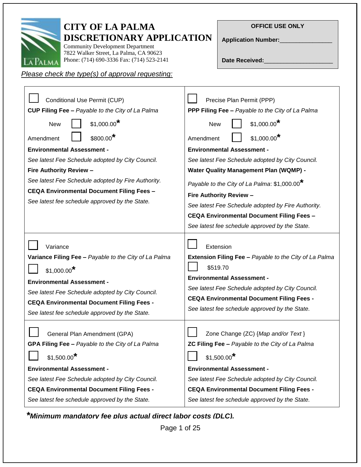

Г

# **CITY OF LA PALMA DISCRETIONARY APPLICATION**

Community Development Department 7822 Walker Street, La Palma, CA 90623 Phone: (714) 690-3336 Fax: (714) 523-2141

# **OFFICE USE ONLY**

**Application Number:**\_\_\_\_\_\_\_\_\_\_\_\_\_\_\_\_

Date Received:

# *Please check the type(s) of approval requesting:*

| Conditional Use Permit (CUP)                                                                                                                                                                                                                                                                 | Precise Plan Permit (PPP)                                                                                                                                                                                                                                                      |  |  |
|----------------------------------------------------------------------------------------------------------------------------------------------------------------------------------------------------------------------------------------------------------------------------------------------|--------------------------------------------------------------------------------------------------------------------------------------------------------------------------------------------------------------------------------------------------------------------------------|--|--|
| CUP Filing Fee - Payable to the City of La Palma                                                                                                                                                                                                                                             | PPP Filing Fee - Payable to the City of La Palma                                                                                                                                                                                                                               |  |  |
| $$1,000.00^*$<br><b>New</b>                                                                                                                                                                                                                                                                  | $$1,000.00$ <sup>*</sup><br><b>New</b>                                                                                                                                                                                                                                         |  |  |
| $$800.00*$<br>Amendment                                                                                                                                                                                                                                                                      | $$1,000.00$ <sup>*</sup><br>Amendment                                                                                                                                                                                                                                          |  |  |
| <b>Environmental Assessment -</b>                                                                                                                                                                                                                                                            | <b>Environmental Assessment -</b>                                                                                                                                                                                                                                              |  |  |
| See latest Fee Schedule adopted by City Council.                                                                                                                                                                                                                                             | See latest Fee Schedule adopted by City Council.                                                                                                                                                                                                                               |  |  |
| Fire Authority Review -                                                                                                                                                                                                                                                                      | <b>Water Quality Management Plan (WQMP) -</b>                                                                                                                                                                                                                                  |  |  |
| See latest Fee Schedule adopted by Fire Authority.                                                                                                                                                                                                                                           | Payable to the City of La Palma: \$1,000.00 <sup>*</sup>                                                                                                                                                                                                                       |  |  |
| <b>CEQA Environmental Document Filing Fees -</b>                                                                                                                                                                                                                                             | Fire Authority Review -                                                                                                                                                                                                                                                        |  |  |
| See latest fee schedule approved by the State.                                                                                                                                                                                                                                               | See latest Fee Schedule adopted by Fire Authority.                                                                                                                                                                                                                             |  |  |
|                                                                                                                                                                                                                                                                                              | <b>CEQA Environmental Document Filing Fees -</b>                                                                                                                                                                                                                               |  |  |
|                                                                                                                                                                                                                                                                                              | See latest fee schedule approved by the State.                                                                                                                                                                                                                                 |  |  |
| Variance<br>Variance Filing Fee - Payable to the City of La Palma<br>$$1,000.00$ <sup>*</sup><br><b>Environmental Assessment -</b><br>See latest Fee Schedule adopted by City Council.<br><b>CEQA Environmental Document Filing Fees -</b><br>See latest fee schedule approved by the State. | Extension<br>Extension Filing Fee - Payable to the City of La Palma<br>\$519.70<br><b>Environmental Assessment -</b><br>See latest Fee Schedule adopted by City Council.<br><b>CEQA Environmental Document Filing Fees -</b><br>See latest fee schedule approved by the State. |  |  |
| General Plan Amendment (GPA)<br>GPA Filing Fee - Payable to the City of La Palma<br>$$1,500.00$ <sup>*</sup><br><b>Environmental Assessment -</b>                                                                                                                                            | Zone Change (ZC) {Map and/or Text}<br>ZC Filing Fee - Payable to the City of La Palma<br>$$1,500.00$ <sup>*</sup><br><b>Environmental Assessment -</b>                                                                                                                         |  |  |
| See latest Fee Schedule adopted by City Council.                                                                                                                                                                                                                                             | See latest Fee Schedule adopted by City Council.                                                                                                                                                                                                                               |  |  |
| <b>CEQA Environmental Document Filing Fees -</b>                                                                                                                                                                                                                                             | <b>CEQA Environmental Document Filing Fees -</b>                                                                                                                                                                                                                               |  |  |
| See latest fee schedule approved by the State.                                                                                                                                                                                                                                               | See latest fee schedule approved by the State.                                                                                                                                                                                                                                 |  |  |

T

*\*Minimum mandatory fee plus actual direct labor costs (DLC).*

Page 1 of 25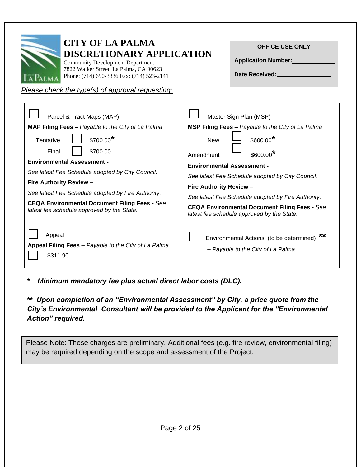| <b>CITY OF LA PALMA</b><br><b>DISCRETIONARY APPLICATION</b><br><b>Community Development Department</b><br>7822 Walker Street, La Palma, CA 90623<br>Phone: (714) 690-3336 Fax: (714) 523-2141<br>Please check the type(s) of approval requesting: | <b>OFFICE USE ONLY</b><br><b>Application Number:</b><br>Date Received: |
|---------------------------------------------------------------------------------------------------------------------------------------------------------------------------------------------------------------------------------------------------|------------------------------------------------------------------------|
| Parcel & Tract Maps (MAP)                                                                                                                                                                                                                         | Master Sign Plan (MSP)                                                 |
| MAP Filing Fees - Payable to the City of La Palma                                                                                                                                                                                                 | <b>MSP Filing Fees - Payable to the City of La Palma</b>               |
| \$700.00*                                                                                                                                                                                                                                         | $$600.00*$                                                             |
| Tentative                                                                                                                                                                                                                                         | <b>New</b>                                                             |
| \$700.00                                                                                                                                                                                                                                          | $$600.00*$                                                             |
| Final                                                                                                                                                                                                                                             | Amendment                                                              |
| <b>Environmental Assessment -</b>                                                                                                                                                                                                                 | <b>Environmental Assessment -</b>                                      |
| See latest Fee Schedule adopted by City Council.                                                                                                                                                                                                  | See latest Fee Schedule adopted by City Council.                       |
| <b>Fire Authority Review -</b>                                                                                                                                                                                                                    | <b>Fire Authority Review -</b>                                         |
| See latest Fee Schedule adopted by Fire Authority.                                                                                                                                                                                                | See latest Fee Schedule adopted by Fire Authority.                     |
| <b>CEQA Environmental Document Filing Fees - See</b>                                                                                                                                                                                              | <b>CEQA Environmental Document Filing Fees - See</b>                   |
| latest fee schedule approved by the State.                                                                                                                                                                                                        | latest fee schedule approved by the State.                             |
| Appeal                                                                                                                                                                                                                                            | **                                                                     |
| Appeal Filing Fees - Payable to the City of La Palma                                                                                                                                                                                              | Environmental Actions (to be determined)                               |
| \$311.90                                                                                                                                                                                                                                          | - Payable to the City of La Palma                                      |

*\* Minimum mandatory fee plus actual direct labor costs (DLC).*

*\*\* .Upon completion of an "Environmental Assessment" by City, a price quote from the City's Environmental. Consultant will be provided to the Applicant for the "Environmental Action" required.*

Please Note: These charges are preliminary. Additional fees (e.g. fire review, environmental filing) may be required depending on the scope and assessment of the Project.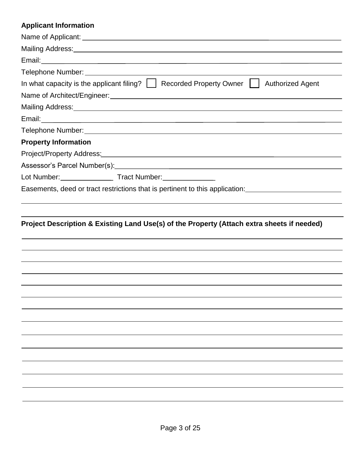# **Applicant Information**

| In what capacity is the applicant filing? $\vert \vert$ Recorded Property Owner $\vert \vert$<br><b>Authorized Agent</b>                                                                                                           |
|------------------------------------------------------------------------------------------------------------------------------------------------------------------------------------------------------------------------------------|
|                                                                                                                                                                                                                                    |
| Mailing Address: <u>Communications</u> Control and Control and Control and Control and Control and Control and Control and Control and Control and Control and Control and Control and Control and Control and Control and Control |
|                                                                                                                                                                                                                                    |
|                                                                                                                                                                                                                                    |
| <b>Property Information</b>                                                                                                                                                                                                        |
| Project/Property Address: North American Control of the Control of the Control of the Control of the Control of the Control of the Control of the Control of the Control of the Control of the Control of the Control of the C     |
|                                                                                                                                                                                                                                    |
|                                                                                                                                                                                                                                    |
| Easements, deed or tract restrictions that is pertinent to this application: <u>_______________________________</u>                                                                                                                |

# **Project Description & Existing Land Use(s) of the Property (Attach extra sheets if needed)**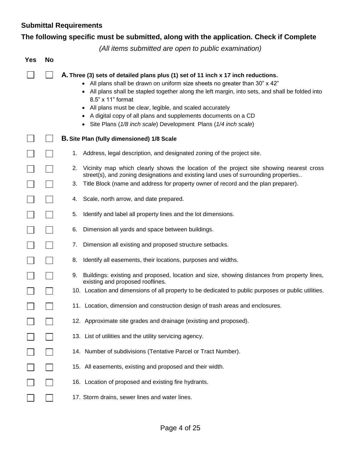# **Submittal Requirements**

# **The following specific must be submitted, along with the application. Check if Complete**

*(All items submitted are open to public examination)*

| <b>Yes</b> | No |                                                                                                                                                                                                                                                                                                                                                                                                                                                                                                                    |
|------------|----|--------------------------------------------------------------------------------------------------------------------------------------------------------------------------------------------------------------------------------------------------------------------------------------------------------------------------------------------------------------------------------------------------------------------------------------------------------------------------------------------------------------------|
|            |    | A. Three (3) sets of detailed plans plus (1) set of 11 inch x 17 inch reductions.<br>All plans shall be drawn on uniform size sheets no greater than 30" x 42"<br>$\bullet$<br>All plans shall be stapled together along the left margin, into sets, and shall be folded into<br>8.5" x 11" format<br>All plans must be clear, legible, and scaled accurately<br>٠<br>A digital copy of all plans and supplements documents on a CD<br>$\bullet$<br>Site Plans (1/8 inch scale) Development Plans (1/4 inch scale) |
|            |    | <b>B.</b> Site Plan (fully dimensioned) 1/8 Scale                                                                                                                                                                                                                                                                                                                                                                                                                                                                  |
|            |    | Address, legal description, and designated zoning of the project site.<br>1.                                                                                                                                                                                                                                                                                                                                                                                                                                       |
|            |    | Vicinity map which clearly shows the location of the project site showing nearest cross<br>2.<br>street(s), and zoning designations and existing land uses of surrounding properties                                                                                                                                                                                                                                                                                                                               |
|            |    | Title Block (name and address for property owner of record and the plan preparer).<br>3.                                                                                                                                                                                                                                                                                                                                                                                                                           |
|            |    | Scale, north arrow, and date prepared.<br>4.                                                                                                                                                                                                                                                                                                                                                                                                                                                                       |
|            |    | 5.<br>Identify and label all property lines and the lot dimensions.                                                                                                                                                                                                                                                                                                                                                                                                                                                |
|            |    | 6.<br>Dimension all yards and space between buildings.                                                                                                                                                                                                                                                                                                                                                                                                                                                             |
|            |    | Dimension all existing and proposed structure setbacks.<br>7.                                                                                                                                                                                                                                                                                                                                                                                                                                                      |
|            |    | 8.<br>Identify all easements, their locations, purposes and widths.                                                                                                                                                                                                                                                                                                                                                                                                                                                |
|            |    | Buildings: existing and proposed, location and size, showing distances from property lines,<br>9.<br>existing and proposed rooflines.                                                                                                                                                                                                                                                                                                                                                                              |
|            |    | 10. Location and dimensions of all property to be dedicated to public purposes or public utilities.                                                                                                                                                                                                                                                                                                                                                                                                                |
|            |    | 11. Location, dimension and construction design of trash areas and enclosures.                                                                                                                                                                                                                                                                                                                                                                                                                                     |
|            |    | 12. Approximate site grades and drainage (existing and proposed).                                                                                                                                                                                                                                                                                                                                                                                                                                                  |
|            |    | 13. List of utilities and the utility servicing agency.                                                                                                                                                                                                                                                                                                                                                                                                                                                            |
|            |    | 14. Number of subdivisions (Tentative Parcel or Tract Number).                                                                                                                                                                                                                                                                                                                                                                                                                                                     |
|            |    | 15. All easements, existing and proposed and their width.                                                                                                                                                                                                                                                                                                                                                                                                                                                          |
|            |    | 16. Location of proposed and existing fire hydrants.                                                                                                                                                                                                                                                                                                                                                                                                                                                               |
|            |    | 17. Storm drains, sewer lines and water lines.                                                                                                                                                                                                                                                                                                                                                                                                                                                                     |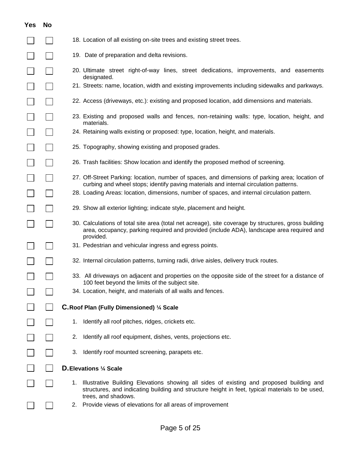| res                      | No                          |
|--------------------------|-----------------------------|
|                          |                             |
|                          |                             |
|                          |                             |
|                          |                             |
| J                        | $\overline{\phantom{a}}$    |
| ı                        |                             |
|                          |                             |
|                          |                             |
|                          |                             |
|                          |                             |
|                          |                             |
|                          | $\overline{\phantom{a}}$    |
| $\mathbb{R}^2$           |                             |
|                          |                             |
|                          |                             |
| $\overline{a}$           | $\overline{\phantom{a}}$    |
|                          |                             |
|                          |                             |
|                          | $\mathbb{R}^2$              |
|                          |                             |
| $\Box$<br>I              |                             |
| $\overline{\phantom{0}}$ | $\mathcal{L}_{\mathcal{A}}$ |
|                          |                             |
|                          |                             |

- 18. Location of all existing on-site trees and existing street trees.
- 19. Date of preparation and delta revisions.
- 20. Ultimate street right-of-way lines, street dedications, improvements, and easements designated.
- 21. Streets: name, location, width and existing improvements including sidewalks and parkways.
- 22. Access (driveways, etc.): existing and proposed location, add dimensions and materials.
- 23. Existing and proposed walls and fences, non-retaining walls: type, location, height, and materials.
- 24. Retaining walls existing or proposed: type, location, height, and materials.
- 25. Topography, showing existing and proposed grades.
- 26. Trash facilities: Show location and identify the proposed method of screening.
- 27. Off-Street Parking: location, number of spaces, and dimensions of parking area; location of curbing and wheel stops; identify paving materials and internal circulation patterns.
- 28. Loading Areas: location, dimensions, number of spaces, and internal circulation pattern.
- 29. Show all exterior lighting; indicate style, placement and height.
- 30. Calculations of total site area (total net acreage), site coverage by structures, gross building area, occupancy, parking required and provided (include ADA), landscape area required and provided.
- 31. Pedestrian and vehicular ingress and egress points.
- 32. Internal circulation patterns, turning radii, drive aisles, delivery truck routes.
	- 33. All driveways on adjacent and properties on the opposite side of the street for a distance of 100 feet beyond the limits of the subject site.
- 34. Location, height, and materials of all walls and fences.

#### **C.Roof Plan (Fully Dimensioned) ¼ Scale**

- 1. Identify all roof pitches, ridges, crickets etc.
- 2. Identify all roof equipment, dishes, vents, projections etc.
- 3. Identify roof mounted screening, parapets etc.

#### **D.Elevations ¼ Scale**

- 1. Illustrative Building Elevations showing all sides of existing and proposed building and structures, and indicating building and structure height in feet, typical materials to be used, trees, and shadows.
- 2. Provide views of elevations for all areas of improvement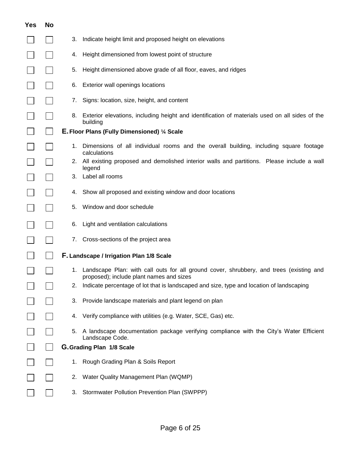| <b>Yes</b> | <b>No</b> |                                                                                                                                           |
|------------|-----------|-------------------------------------------------------------------------------------------------------------------------------------------|
|            |           | Indicate height limit and proposed height on elevations<br>3.                                                                             |
|            |           | Height dimensioned from lowest point of structure<br>4.                                                                                   |
|            |           | Height dimensioned above grade of all floor, eaves, and ridges<br>5.                                                                      |
|            |           | Exterior wall openings locations<br>6.                                                                                                    |
|            |           | Signs: location, size, height, and content<br>7.                                                                                          |
|            |           | Exterior elevations, including height and identification of materials used on all sides of the<br>8.<br>building                          |
|            |           | E. Floor Plans (Fully Dimensioned) 1/4 Scale                                                                                              |
|            |           | Dimensions of all individual rooms and the overall building, including square footage<br>1.<br>calculations                               |
|            |           | 2. All existing proposed and demolished interior walls and partitions. Please include a wall<br>legend                                    |
|            |           | Label all rooms<br>З.                                                                                                                     |
|            |           | Show all proposed and existing window and door locations<br>4.                                                                            |
|            |           | Window and door schedule<br>5.                                                                                                            |
|            |           | Light and ventilation calculations<br>6.                                                                                                  |
|            |           | Cross-sections of the project area<br>7.                                                                                                  |
|            |           | F. Landscape / Irrigation Plan 1/8 Scale                                                                                                  |
|            |           | Landscape Plan: with call outs for all ground cover, shrubbery, and trees (existing and<br>1.<br>proposed); include plant names and sizes |
|            |           | 2. Indicate percentage of lot that is landscaped and size, type and location of landscaping                                               |
|            |           | Provide landscape materials and plant legend on plan<br>3.                                                                                |
|            |           | Verify compliance with utilities (e.g. Water, SCE, Gas) etc.<br>4.                                                                        |
|            |           | A landscape documentation package verifying compliance with the City's Water Efficient<br>5.<br>Landscape Code.                           |
|            |           | G. Grading Plan 1/8 Scale                                                                                                                 |
|            |           | Rough Grading Plan & Soils Report<br>1.                                                                                                   |
|            |           | Water Quality Management Plan (WQMP)<br>2.                                                                                                |
|            |           | Stormwater Pollution Prevention Plan (SWPPP)<br>3.                                                                                        |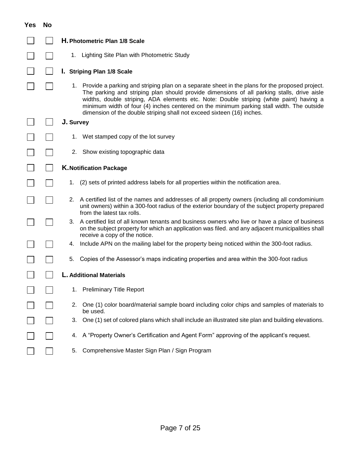| <b>Yes</b> | <b>No</b> |                                                                                                                                                                                                                                                                                                                                                                                                                                                                   |
|------------|-----------|-------------------------------------------------------------------------------------------------------------------------------------------------------------------------------------------------------------------------------------------------------------------------------------------------------------------------------------------------------------------------------------------------------------------------------------------------------------------|
|            |           | H. Photometric Plan 1/8 Scale                                                                                                                                                                                                                                                                                                                                                                                                                                     |
|            |           | 1. Lighting Site Plan with Photometric Study                                                                                                                                                                                                                                                                                                                                                                                                                      |
|            |           | I. Striping Plan 1/8 Scale                                                                                                                                                                                                                                                                                                                                                                                                                                        |
|            |           | 1. Provide a parking and striping plan on a separate sheet in the plans for the proposed project.<br>The parking and striping plan should provide dimensions of all parking stalls, drive aisle<br>widths, double striping, ADA elements etc. Note: Double striping (white paint) having a<br>minimum width of four (4) inches centered on the minimum parking stall width. The outside<br>dimension of the double striping shall not exceed sixteen (16) inches. |
|            |           | J. Survey                                                                                                                                                                                                                                                                                                                                                                                                                                                         |
|            |           | Wet stamped copy of the lot survey<br>1.                                                                                                                                                                                                                                                                                                                                                                                                                          |
|            |           | 2. Show existing topographic data                                                                                                                                                                                                                                                                                                                                                                                                                                 |
|            |           | <b>K. Notification Package</b>                                                                                                                                                                                                                                                                                                                                                                                                                                    |
|            |           | (2) sets of printed address labels for all properties within the notification area.<br>1.                                                                                                                                                                                                                                                                                                                                                                         |
|            |           | A certified list of the names and addresses of all property owners (including all condominium<br>2.<br>unit owners) within a 300-foot radius of the exterior boundary of the subject property prepared<br>from the latest tax rolls.                                                                                                                                                                                                                              |
|            |           | A certified list of all known tenants and business owners who live or have a place of business<br>3.<br>on the subject property for which an application was filed. and any adjacent municipalities shall<br>receive a copy of the notice.                                                                                                                                                                                                                        |
|            |           | Include APN on the mailing label for the property being noticed within the 300-foot radius.<br>4.                                                                                                                                                                                                                                                                                                                                                                 |
|            |           | Copies of the Assessor's maps indicating properties and area within the 300-foot radius<br>5.                                                                                                                                                                                                                                                                                                                                                                     |
|            |           | L. Additional Materials                                                                                                                                                                                                                                                                                                                                                                                                                                           |
|            |           | <b>Preliminary Title Report</b><br>1.                                                                                                                                                                                                                                                                                                                                                                                                                             |
|            |           | One (1) color board/material sample board including color chips and samples of materials to<br>2.<br>be used.                                                                                                                                                                                                                                                                                                                                                     |
|            |           | One (1) set of colored plans which shall include an illustrated site plan and building elevations.<br>3.                                                                                                                                                                                                                                                                                                                                                          |
|            |           | A "Property Owner's Certification and Agent Form" approving of the applicant's request.<br>4.                                                                                                                                                                                                                                                                                                                                                                     |
|            |           | Comprehensive Master Sign Plan / Sign Program<br>5.                                                                                                                                                                                                                                                                                                                                                                                                               |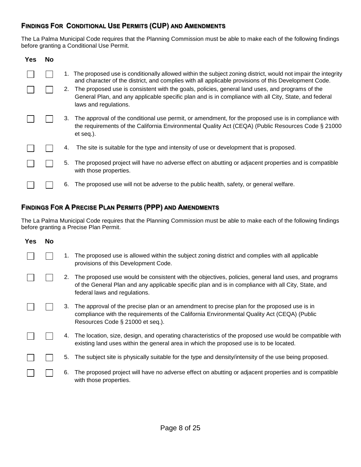# **FINDINGS FOR CONDITIONAL USE PERMITS (CUP) AND AMENDMENTS**

The La Palma Municipal Code requires that the Planning Commission must be able to make each of the following findings before granting a Conditional Use Permit.

| <b>Yes</b> | No. |    |                                                                                                                                                                                                                                   |
|------------|-----|----|-----------------------------------------------------------------------------------------------------------------------------------------------------------------------------------------------------------------------------------|
|            |     |    | The proposed use is conditionally allowed within the subject zoning district, would not impair the integrity<br>and character of the district, and complies with all applicable provisions of this Development Code.              |
|            |     | 2. | The proposed use is consistent with the goals, policies, general land uses, and programs of the<br>General Plan, and any applicable specific plan and is in compliance with all City, State, and federal<br>laws and regulations. |
|            |     | 3. | The approval of the conditional use permit, or amendment, for the proposed use is in compliance with<br>the requirements of the California Environmental Quality Act (CEQA) (Public Resources Code § 21000<br>et seq.).           |
|            |     | 4. | The site is suitable for the type and intensity of use or development that is proposed.                                                                                                                                           |
|            |     | 5. | The proposed project will have no adverse effect on abutting or adjacent properties and is compatible<br>with those properties.                                                                                                   |
|            |     | 6. | The proposed use will not be adverse to the public health, safety, or general welfare.                                                                                                                                            |

# **FINDINGS FOR A PRECISE PLAN PERMITS (PPP) AND AMENDMENTS**

The La Palma Municipal Code requires that the Planning Commission must be able to make each of the following findings before granting a Precise Plan Permit.

| <b>Yes</b> | <b>No</b> |    |                                                                                                                                                                                                                                             |
|------------|-----------|----|---------------------------------------------------------------------------------------------------------------------------------------------------------------------------------------------------------------------------------------------|
|            |           |    | The proposed use is allowed within the subject zoning district and complies with all applicable<br>provisions of this Development Code.                                                                                                     |
|            |           | 2. | The proposed use would be consistent with the objectives, policies, general land uses, and programs<br>of the General Plan and any applicable specific plan and is in compliance with all City, State, and<br>federal laws and regulations. |
|            |           | 3. | The approval of the precise plan or an amendment to precise plan for the proposed use is in<br>compliance with the requirements of the California Environmental Quality Act (CEQA) (Public<br>Resources Code § 21000 et seq.).              |
|            |           |    | 4. The location, size, design, and operating characteristics of the proposed use would be compatible with<br>existing land uses within the general area in which the proposed use is to be located.                                         |
|            |           | 5. | The subject site is physically suitable for the type and density/intensity of the use being proposed.                                                                                                                                       |
|            |           | 6. | The proposed project will have no adverse effect on abutting or adjacent properties and is compatible<br>with those properties.                                                                                                             |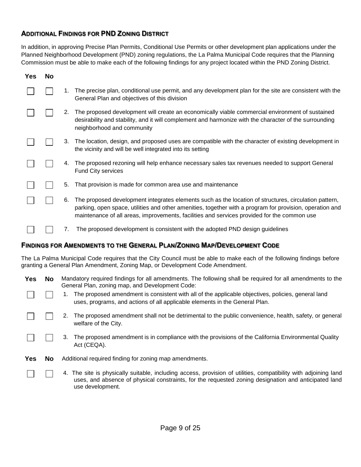# **ADDITIONAL FINDINGS FOR PND ZONING DISTRICT**

In addition, in approving Precise Plan Permits, Conditional Use Permits or other development plan applications under the Planned Neighborhood Development (PND) zoning regulations, the La Palma Municipal Code requires that the Planning Commission must be able to make each of the following findings for any project located within the PND Zoning District.

| <b>Yes</b> | No |    |                                                                                                                                                                                                                                                                                                                  |
|------------|----|----|------------------------------------------------------------------------------------------------------------------------------------------------------------------------------------------------------------------------------------------------------------------------------------------------------------------|
|            |    | 1. | The precise plan, conditional use permit, and any development plan for the site are consistent with the<br>General Plan and objectives of this division                                                                                                                                                          |
|            |    | 2. | The proposed development will create an economically viable commercial environment of sustained<br>desirability and stability, and it will complement and harmonize with the character of the surrounding<br>neighborhood and community                                                                          |
|            |    | 3. | The location, design, and proposed uses are compatible with the character of existing development in<br>the vicinity and will be well integrated into its setting                                                                                                                                                |
|            |    | 4. | The proposed rezoning will help enhance necessary sales tax revenues needed to support General<br><b>Fund City services</b>                                                                                                                                                                                      |
|            |    | 5. | That provision is made for common area use and maintenance                                                                                                                                                                                                                                                       |
|            |    | 6. | The proposed development integrates elements such as the location of structures, circulation pattern,<br>parking, open space, utilities and other amenities, together with a program for provision, operation and<br>maintenance of all areas, improvements, facilities and services provided for the common use |
|            |    | 7. | The proposed development is consistent with the adopted PND design guidelines                                                                                                                                                                                                                                    |

### **FINDINGS FOR AMENDMENTS TO THE GENERAL PLAN/ZONING MAP/DEVELOPMENT CODE**

The La Palma Municipal Code requires that the City Council must be able to make each of the following findings before granting a General Plan Amendment, Zoning Map, or Development Code Amendment.

| <b>Yes</b> | <b>No</b> | Mandatory required findings for all amendments. The following shall be required for all amendments to the<br>General Plan, zoning map, and Development Code:                                                                                |  |  |
|------------|-----------|---------------------------------------------------------------------------------------------------------------------------------------------------------------------------------------------------------------------------------------------|--|--|
|            |           | The proposed amendment is consistent with all of the applicable objectives, policies, general land<br>uses, programs, and actions of all applicable elements in the General Plan.                                                           |  |  |
|            |           | The proposed amendment shall not be detrimental to the public convenience, health, safety, or general<br>welfare of the City.                                                                                                               |  |  |
|            |           | The proposed amendment is in compliance with the provisions of the California Environmental Quality<br>3.<br>Act (CEQA).                                                                                                                    |  |  |
| <b>Yes</b> | <b>No</b> | Additional required finding for zoning map amendments.                                                                                                                                                                                      |  |  |
|            |           | 4. The site is physically suitable, including access, provision of utilities, compatibility with adjoining land<br>uses, and absence of physical constraints, for the requested zoning designation and anticipated land<br>use development. |  |  |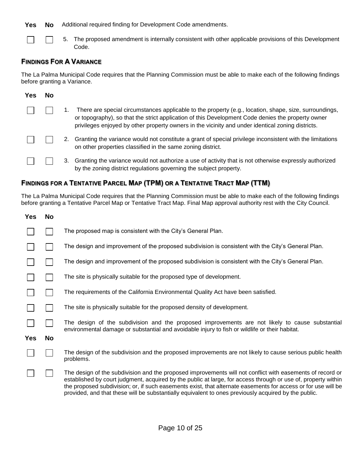**Yes No** Additional required finding for Development Code amendments.

 $\Box$  $\Box$ 

5. The proposed amendment is internally consistent with other applicable provisions of this Development Code.

# **FINDINGS FOR A VARIANCE**

The La Palma Municipal Code requires that the Planning Commission must be able to make each of the following findings before granting a Variance.

| Yes | Nο |    |                                                                                                                                                                                                                                                                                                                  |
|-----|----|----|------------------------------------------------------------------------------------------------------------------------------------------------------------------------------------------------------------------------------------------------------------------------------------------------------------------|
|     |    |    | There are special circumstances applicable to the property (e.g., location, shape, size, surroundings,<br>or topography), so that the strict application of this Development Code denies the property owner<br>privileges enjoyed by other property owners in the vicinity and under identical zoning districts. |
|     |    |    | 2. Granting the variance would not constitute a grant of special privilege inconsistent with the limitations<br>on other properties classified in the same zoning district.                                                                                                                                      |
|     |    | 3. | Granting the variance would not authorize a use of activity that is not otherwise expressly authorized<br>by the zoning district regulations governing the subject property.                                                                                                                                     |

# **FINDINGS FOR A TENTATIVE PARCEL MAP (TPM) OR A TENTATIVE TRACT MAP (TTM)**

The La Palma Municipal Code requires that the Planning Commission must be able to make each of the following findings before granting a Tentative Parcel Map or Tentative Tract Map. Final Map approval authority rest with the City Council.

| <b>Yes</b> | <b>No</b> |                                                                                                                                                                                                                                                                                                                                                                                                                                                     |
|------------|-----------|-----------------------------------------------------------------------------------------------------------------------------------------------------------------------------------------------------------------------------------------------------------------------------------------------------------------------------------------------------------------------------------------------------------------------------------------------------|
|            |           | The proposed map is consistent with the City's General Plan.                                                                                                                                                                                                                                                                                                                                                                                        |
|            |           | The design and improvement of the proposed subdivision is consistent with the City's General Plan.                                                                                                                                                                                                                                                                                                                                                  |
|            |           | The design and improvement of the proposed subdivision is consistent with the City's General Plan.                                                                                                                                                                                                                                                                                                                                                  |
|            |           | The site is physically suitable for the proposed type of development.                                                                                                                                                                                                                                                                                                                                                                               |
|            |           | The requirements of the California Environmental Quality Act have been satisfied.                                                                                                                                                                                                                                                                                                                                                                   |
|            |           | The site is physically suitable for the proposed density of development.                                                                                                                                                                                                                                                                                                                                                                            |
|            |           | The design of the subdivision and the proposed improvements are not likely to cause substantial<br>environmental damage or substantial and avoidable injury to fish or wildlife or their habitat.                                                                                                                                                                                                                                                   |
| Yes        | No        |                                                                                                                                                                                                                                                                                                                                                                                                                                                     |
|            |           | The design of the subdivision and the proposed improvements are not likely to cause serious public health<br>problems.                                                                                                                                                                                                                                                                                                                              |
|            |           | The design of the subdivision and the proposed improvements will not conflict with easements of record or<br>established by court judgment, acquired by the public at large, for access through or use of, property within<br>the proposed subdivision; or, if such easements exist, that alternate easements for access or for use will be<br>provided, and that these will be substantially equivalent to ones previously acquired by the public. |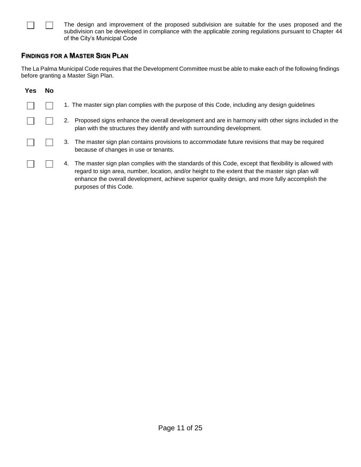$\Box$ The design and improvement of the proposed subdivision are suitable for the uses proposed and the subdivision can be developed in compliance with the applicable zoning regulations pursuant to Chapter 44 of the City's Municipal Code

### **FINDINGS FOR A MASTER SIGN PLAN**

 $\perp$ 

The La Palma Municipal Code requires that the Development Committee must be able to make each of the following findings before granting a Master Sign Plan.

| <b>Yes</b> | No |                                                                                                                                                                                                                                                                                                                                                |
|------------|----|------------------------------------------------------------------------------------------------------------------------------------------------------------------------------------------------------------------------------------------------------------------------------------------------------------------------------------------------|
|            |    | 1. The master sign plan complies with the purpose of this Code, including any design guidelines                                                                                                                                                                                                                                                |
|            |    | Proposed signs enhance the overall development and are in harmony with other signs included in the<br>2.<br>plan with the structures they identify and with surrounding development.                                                                                                                                                           |
|            |    | The master sign plan contains provisions to accommodate future revisions that may be required<br>3.<br>because of changes in use or tenants.                                                                                                                                                                                                   |
|            |    | The master sign plan complies with the standards of this Code, except that flexibility is allowed with<br>4.<br>regard to sign area, number, location, and/or height to the extent that the master sign plan will<br>enhance the overall development, achieve superior quality design, and more fully accomplish the<br>purposes of this Code. |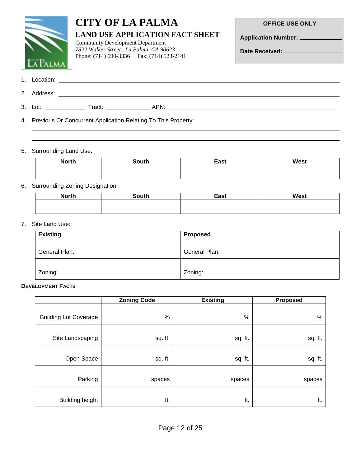# **CITY OF LA PALMA LAND USE APPLICATION FACT SHEET**

Community Development Department *7822 Walker Street., La Palma, CA 90623* Phone: (714) 690-3336 Fax: (714) 523-2141 **OFFICE USE ONLY**

**Application Number:**

**Date Received:**

| 1. Location: |        |      |
|--------------|--------|------|
| 2. Address:  |        |      |
| 3. Lot:      | Tract: | APN: |

4. Previous Or Concurrent Application Relating To This Property:

#### 5. Surrounding Land Use:

| <b>North</b> | South | East | <b>West</b> |
|--------------|-------|------|-------------|
|              |       |      |             |
|              |       |      |             |

# 6. Surrounding Zoning Designation:

| <b>North</b> | South | East | West |
|--------------|-------|------|------|
|              |       |      |      |
|              |       |      |      |

#### 7. Site Land Use:

| <b>Existing</b> | <b>Proposed</b> |
|-----------------|-----------------|
|                 |                 |
| General Plan:   | General Plan:   |
|                 |                 |
| Zoning:         | Zoning:         |

#### **DEVELOPMENT FACTS**

|                              | <b>Zoning Code</b> | <b>Existing</b> | <b>Proposed</b> |
|------------------------------|--------------------|-----------------|-----------------|
|                              |                    |                 |                 |
| <b>Building Lot Coverage</b> | $\%$               | $\%$            | $\%$            |
|                              |                    |                 |                 |
| Site Landscaping             | sq. ft.            | sq. ft.         | sq. ft.         |
|                              |                    |                 |                 |
| Open Space                   | sq. ft.            | sq. ft.         | sq. ft.         |
|                              |                    |                 |                 |
| Parking                      | spaces             | spaces          | spaces          |
|                              |                    |                 |                 |
| <b>Building height</b>       | ft.                | ft.             | ft.             |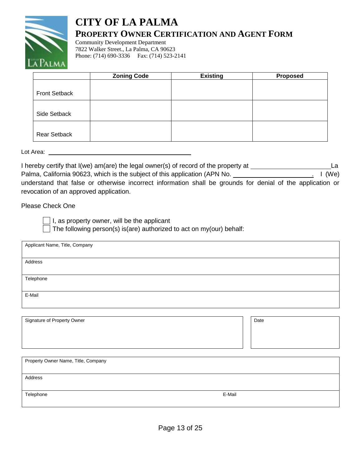

# **CITY OF LA PALMA PROPERTY OWNER CERTIFICATION AND AGENT FORM**

Community Development Department 7822 Walker Street., La Palma, CA 90623 Phone: (714) 690-3336 Fax: (714) 523-2141

|                      | <b>Zoning Code</b> | <b>Existing</b> | Proposed |
|----------------------|--------------------|-----------------|----------|
|                      |                    |                 |          |
| <b>Front Setback</b> |                    |                 |          |
|                      |                    |                 |          |
| Side Setback         |                    |                 |          |
|                      |                    |                 |          |
| <b>Rear Setback</b>  |                    |                 |          |

Lot Area:

I hereby certify that I(we) am(are) the legal owner(s) of record of the property at La Palma, California 90623, which is the subject of this application (APN No. . I (We) understand that false or otherwise incorrect information shall be grounds for denial of the application or revocation of an approved application.

Please Check One

 $\Box$  I, as property owner, will be the applicant

The following person(s) is(are) authorized to act on my(our) behalf:

| Applicant Name, Title, Company |  |      |  |
|--------------------------------|--|------|--|
|                                |  |      |  |
| Address                        |  |      |  |
|                                |  |      |  |
| Telephone                      |  |      |  |
|                                |  |      |  |
| E-Mail                         |  |      |  |
|                                |  |      |  |
|                                |  |      |  |
| Signature of Property Owner    |  | Date |  |
|                                |  |      |  |
|                                |  |      |  |
|                                |  |      |  |

| Property Owner Name, Title, Company |        |
|-------------------------------------|--------|
| Address                             |        |
| Telephone                           | E-Mail |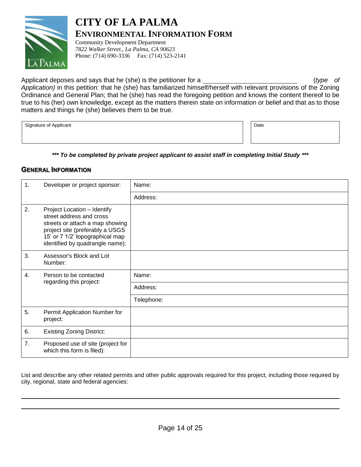

# **CITY OF LA PALMA ENVIRONMENTAL INFORMATION FORM**

Community Development Department *7822 Walker Street., La Palma, CA 90623* Phone: (714) 690-3336 Fax: (714) 523-2141

Applicant deposes and says that he (she) is the petitioner for a <u>constant that the controller of</u> (*type* of *Application)* in this petition: that he (she) has familiarized himself/herself with relevant provisions of the Zoning Ordinance and General Plan; that he (she) has read the foregoing petition and knows the content thereof to be true to his (her) own knowledge, except as the matters therein state on information or belief and that as to those matters and things he (she) believes them to be true.

Signature of Applicant Date of Applicant Date of Applicant Date of Applicant Date of Applicant Date of Applicant Date of Applicant Date of Applicant Date of Applicant Date of Applicant Date of Applicant Date of Applicant D

*\*\*\* To be completed by private project applicant to assist staff in completing Initial Study \*\*\**

### **GENERAL INFORMATION**

| 1. | Developer or project sponsor:                                                                                                                                                                       | Name:      |
|----|-----------------------------------------------------------------------------------------------------------------------------------------------------------------------------------------------------|------------|
|    |                                                                                                                                                                                                     | Address:   |
| 2. | Project Location - Identify<br>street address and cross<br>streets or attach a map showing<br>project site (preferably a USGS<br>15' or 7 1/2' topographical map<br>identified by quadrangle name): |            |
| 3. | Assessor's Block and Lot<br>Number:                                                                                                                                                                 |            |
| 4. | Person to be contacted<br>regarding this project:                                                                                                                                                   | Name:      |
|    |                                                                                                                                                                                                     | Address:   |
|    |                                                                                                                                                                                                     | Telephone: |
| 5. | Permit Application Number for<br>project:                                                                                                                                                           |            |
| 6. | <b>Existing Zoning District:</b>                                                                                                                                                                    |            |
| 7. | Proposed use of site (project for<br>which this form is filed):                                                                                                                                     |            |

List and describe any other related permits and other public approvals required for this project, including those required by city, regional, state and federal agencies: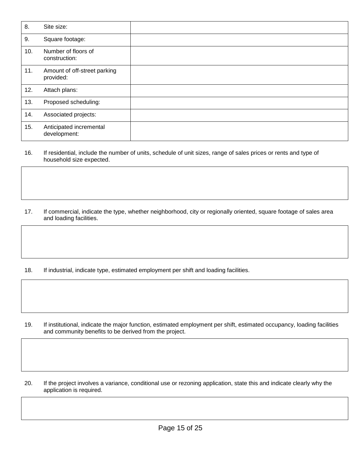| 8.  | Site size:                                |  |
|-----|-------------------------------------------|--|
| 9.  | Square footage:                           |  |
| 10. | Number of floors of<br>construction:      |  |
| 11. | Amount of off-street parking<br>provided: |  |
| 12. | Attach plans:                             |  |
| 13. | Proposed scheduling:                      |  |
| 14. | Associated projects:                      |  |
| 15. | Anticipated incremental<br>development:   |  |

- 16. If residential, include the number of units, schedule of unit sizes, range of sales prices or rents and type of household size expected.
- 17. If commercial, indicate the type, whether neighborhood, city or regionally oriented, square footage of sales area and loading facilities.
- 18. If industrial, indicate type, estimated employment per shift and loading facilities.

- 19. If institutional, indicate the major function, estimated employment per shift, estimated occupancy, loading facilities and community benefits to be derived from the project.
- 20. If the project involves a variance, conditional use or rezoning application, state this and indicate clearly why the application is required.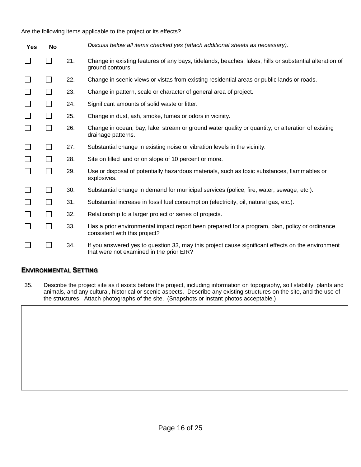Are the following items applicable to the project or its effects?

| <b>Yes</b> | No              |     | Discuss below all items checked yes (attach additional sheets as necessary).                                                                  |
|------------|-----------------|-----|-----------------------------------------------------------------------------------------------------------------------------------------------|
| ⊔          | $\Box$          | 21. | Change in existing features of any bays, tidelands, beaches, lakes, hills or substantial alteration of<br>ground contours.                    |
| ⊔          | $\vert$ $\vert$ | 22. | Change in scenic views or vistas from existing residential areas or public lands or roads.                                                    |
| $\Box$     |                 | 23. | Change in pattern, scale or character of general area of project.                                                                             |
| $\Box$     | $\Box$          | 24. | Significant amounts of solid waste or litter.                                                                                                 |
| $\Box$     |                 | 25. | Change in dust, ash, smoke, fumes or odors in vicinity.                                                                                       |
| $\Box$     | $\Box$          | 26. | Change in ocean, bay, lake, stream or ground water quality or quantity, or alteration of existing<br>drainage patterns.                       |
| ⊔          | $\Box$          | 27. | Substantial change in existing noise or vibration levels in the vicinity.                                                                     |
| $\Box$     |                 | 28. | Site on filled land or on slope of 10 percent or more.                                                                                        |
| $\Box$     | $\Box$          | 29. | Use or disposal of potentially hazardous materials, such as toxic substances, flammables or<br>explosives.                                    |
| $\Box$     | $\Box$          | 30. | Substantial change in demand for municipal services (police, fire, water, sewage, etc.).                                                      |
| $\Box$     |                 | 31. | Substantial increase in fossil fuel consumption (electricity, oil, natural gas, etc.).                                                        |
| ⊔          | $\mathbf{I}$    | 32. | Relationship to a larger project or series of projects.                                                                                       |
| $\Box$     | П               | 33. | Has a prior environmental impact report been prepared for a program, plan, policy or ordinance<br>consistent with this project?               |
| $\Box$     |                 | 34. | If you answered yes to question 33, may this project cause significant effects on the environment<br>that were not examined in the prior EIR? |

#### **ENVIRONMENTAL SETTING**

35. Describe the project site as it exists before the project, including information on topography, soil stability, plants and animals, and any cultural, historical or scenic aspects. Describe any existing structures on the site, and the use of the structures. Attach photographs of the site. (Snapshots or instant photos acceptable.)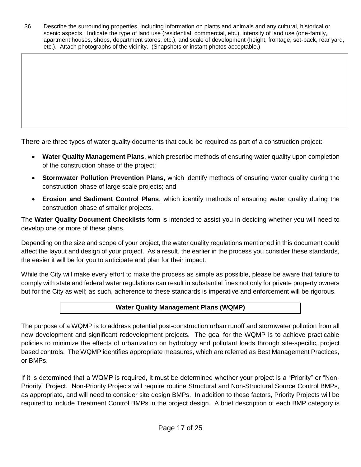36. Describe the surrounding properties, including information on plants and animals and any cultural, historical or scenic aspects. Indicate the type of land use (residential, commercial, etc.), intensity of land use (one-family, apartment houses, shops, department stores, etc.), and scale of development (height, frontage, set-back, rear yard, etc.). Attach photographs of the vicinity. (Snapshots or instant photos acceptable.)

There are three types of water quality documents that could be required as part of a construction project:

- **Water Quality Management Plans**, which prescribe methods of ensuring water quality upon completion of the construction phase of the project;
- **Stormwater Pollution Prevention Plans**, which identify methods of ensuring water quality during the construction phase of large scale projects; and
- **Erosion and Sediment Control Plans**, which identify methods of ensuring water quality during the construction phase of smaller projects.

The **Water Quality Document Checklists** form is intended to assist you in deciding whether you will need to develop one or more of these plans.

Depending on the size and scope of your project, the water quality regulations mentioned in this document could affect the layout and design of your project. As a result, the earlier in the process you consider these standards, the easier it will be for you to anticipate and plan for their impact.

While the City will make every effort to make the process as simple as possible, please be aware that failure to comply with state and federal water regulations can result in substantial fines not only for private property owners but for the City as well; as such, adherence to these standards is imperative and enforcement will be rigorous.

# **Water Quality Management Plans (WQMP)**

The purpose of a WQMP is to address potential post-construction urban runoff and stormwater pollution from all new development and significant redevelopment projects. The goal for the WQMP is to achieve practicable policies to minimize the effects of urbanization on hydrology and pollutant loads through site-specific, project based controls. The WQMP identifies appropriate measures, which are referred as Best Management Practices, or BMPs.

If it is determined that a WQMP is required, it must be determined whether your project is a "Priority" or "Non-Priority" Project. Non-Priority Projects will require routine Structural and Non-Structural Source Control BMPs, as appropriate, and will need to consider site design BMPs. In addition to these factors, Priority Projects will be required to include Treatment Control BMPs in the project design. A brief description of each BMP category is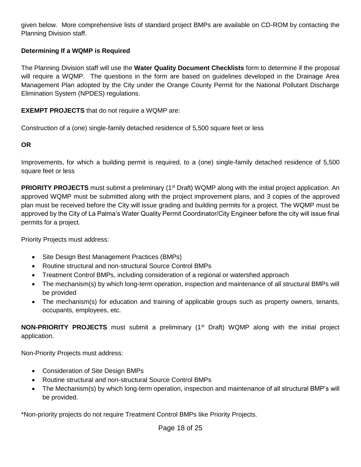given below. More comprehensive lists of standard project BMPs are available on CD-ROM by contacting the Planning Division staff.

# **Determining If a WQMP is Required**

The Planning Division staff will use the **Water Quality Document Checklists** form to determine if the proposal will require a WQMP. The questions in the form are based on guidelines developed in the Drainage Area Management Plan adopted by the City under the Orange County Permit for the National Pollutant Discharge Elimination System (NPDES) regulations.

**EXEMPT PROJECTS** that do not require a WQMP are:

Construction of a (one) single-family detached residence of 5,500 square feet or less

### **OR**

Improvements, for which a building permit is required, to a (one) single-family detached residence of 5,500 square feet or less

**PRIORITY PROJECTS** must submit a preliminary (1<sup>st</sup> Draft) WQMP along with the initial project application. An approved WQMP must be submitted along with the project improvement plans, and 3 copies of the approved plan must be received before the City will issue grading and building permits for a project. The WQMP must be approved by the City of La Palma's Water Quality Permit Coordinator/City Engineer before the city will issue final permits for a project.

Priority Projects must address:

- Site Design Best Management Practices (BMPs)
- Routine structural and non-structural Source Control BMPs
- Treatment Control BMPs, including consideration of a regional or watershed approach
- The mechanism(s) by which long-term operation, inspection and maintenance of all structural BMPs will be provided
- The mechanism(s) for education and training of applicable groups such as property owners, tenants, occupants, employees, etc.

**NON-PRIORITY PROJECTS** must submit a preliminary (1<sup>st</sup> Draft) WQMP along with the initial project application.

Non-Priority Projects must address:

- Consideration of Site Design BMPs
- Routine structural and non-structural Source Control BMPs
- The Mechanism(s) by which long-term operation, inspection and maintenance of all structural BMP's will be provided.

\*Non-priority projects do not require Treatment Control BMPs like Priority Projects.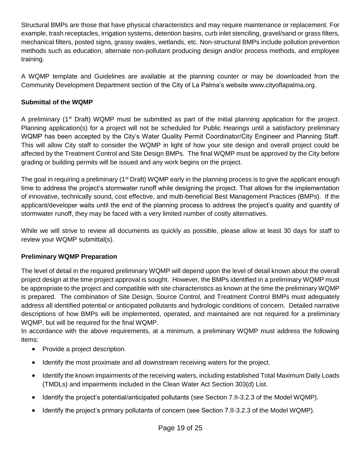Structural BMPs are those that have physical characteristics and may require maintenance or replacement. For example, trash receptacles, irrigation systems, detention basins, curb inlet stenciling, gravel/sand or grass filters, mechanical filters, posted signs, grassy swales, wetlands, etc. Non-structural BMPs include pollution prevention methods such as education, alternate non-pollutant producing design and/or process methods, and employee training.

A WQMP template and Guidelines are available at the planning counter or may be downloaded from the Community Development Department section of the City of La Palma's website www.cityoflapalma.org.

# **Submittal of the WQMP**

A preliminary (1st Draft) WQMP must be submitted as part of the initial planning application for the project. Planning application(s) for a project will not be scheduled for Public Hearings until a satisfactory preliminary WQMP has been accepted by the City's Water Quality Permit Coordinator/City Engineer and Planning Staff. This will allow City staff to consider the WQMP in light of how your site design and overall project could be affected by the Treatment Control and Site Design BMPs. The final WQMP must be approved by the City before grading or building permits will be issued and any work begins on the project.

The goal in requiring a preliminary (1<sup>st</sup> Draft) WQMP early in the planning process is to give the applicant enough time to address the project's stormwater runoff while designing the project. That allows for the implementation of innovative, technically sound, cost effective, and multi-beneficial Best Management Practices (BMPs). If the applicant/developer waits until the end of the planning process to address the project's quality and quantity of stormwater runoff, they may be faced with a very limited number of costly alternatives.

While we will strive to review all documents as quickly as possible, please allow at least 30 days for staff to review your WQMP submittal(s).

# **Preliminary WQMP Preparation**

The level of detail in the required preliminary WQMP will depend upon the level of detail known about the overall project design at the time project approval is sought. However, the BMPs identified in a preliminary WQMP must be appropriate to the project and compatible with site characteristics as known at the time the preliminary WQMP is prepared. The combination of Site Design, Source Control, and Treatment Control BMPs must adequately address all identified potential or anticipated pollutants and hydrologic conditions of concern. Detailed narrative descriptions of how BMPs will be implemented, operated, and maintained are not required for a preliminary WQMP, but will be required for the final WQMP.

In accordance with the above requirements, at a minimum, a preliminary WQMP must address the following items:

- Provide a project description.
- Identify the most proximate and all downstream receiving waters for the project.
- Identify the known impairments of the receiving waters, including established Total Maximum Daily Loads (TMDLs) and impairments included in the Clean Water Act Section 303(d) List.
- Identify the project's potential/anticipated pollutants (see Section 7.II-3.2.3 of the Model WQMP).
- Identify the project's primary pollutants of concern (see Section 7.II-3.2.3 of the Model WQMP).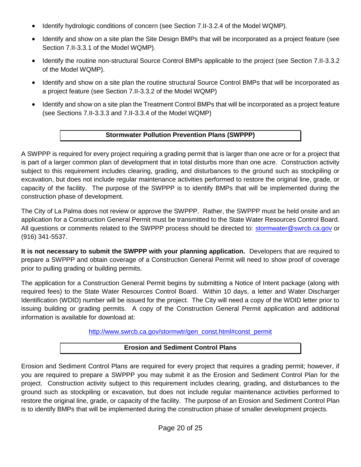- Identify hydrologic conditions of concern (see Section 7.II-3.2.4 of the Model WQMP).
- Identify and show on a site plan the Site Design BMPs that will be incorporated as a project feature (see Section 7.II-3.3.1 of the Model WQMP).
- Identify the routine non-structural Source Control BMPs applicable to the project (see Section 7.II-3.3.2) of the Model WQMP).
- Identify and show on a site plan the routine structural Source Control BMPs that will be incorporated as a project feature (see Section 7.II-3.3.2 of the Model WQMP)
- Identify and show on a site plan the Treatment Control BMPs that will be incorporated as a project feature (see Sections 7.II-3.3.3 and 7.II-3.3.4 of the Model WQMP)

# **Stormwater Pollution Prevention Plans (SWPPP)**

A SWPPP is required for every project requiring a grading permit that is larger than one acre or for a project that is part of a larger common plan of development that in total disturbs more than one acre. Construction activity subject to this requirement includes clearing, grading, and disturbances to the ground such as stockpiling or excavation, but does not include regular maintenance activities performed to restore the original line, grade, or capacity of the facility. The purpose of the SWPPP is to identify BMPs that will be implemented during the construction phase of development.

The City of La Palma does not review or approve the SWPPP. Rather, the SWPPP must be held onsite and an application for a Construction General Permit must be transmitted to the State Water Resources Control Board. All questions or comments related to the SWPPP process should be directed to: [stormwater@swrcb.ca.gov](mailto:stormwater@swrcb.ca.gov) or (916) 341-5537.

**It is not necessary to submit the SWPPP with your planning application.** Developers that are required to prepare a SWPPP and obtain coverage of a Construction General Permit will need to show proof of coverage prior to pulling grading or building permits.

The application for a Construction General Permit begins by submitting a Notice of Intent package (along with required fees) to the State Water Resources Control Board. Within 10 days, a letter and Water Discharger Identification (WDID) number will be issued for the project. The City will need a copy of the WDID letter prior to issuing building or grading permits. A copy of the Construction General Permit application and additional information is available for download at:

[http://www.swrcb.ca.gov/stormwtr/gen\\_const.html#const\\_permit](http://www.swrcb.ca.gov/stormwtr/gen_const.html#const_permit)

### **Erosion and Sediment Control Plans**

Erosion and Sediment Control Plans are required for every project that requires a grading permit; however, if you are required to prepare a SWPPP you may submit it as the Erosion and Sediment Control Plan for the project. Construction activity subject to this requirement includes clearing, grading, and disturbances to the ground such as stockpiling or excavation, but does not include regular maintenance activities performed to restore the original line, grade, or capacity of the facility. The purpose of an Erosion and Sediment Control Plan is to identify BMPs that will be implemented during the construction phase of smaller development projects.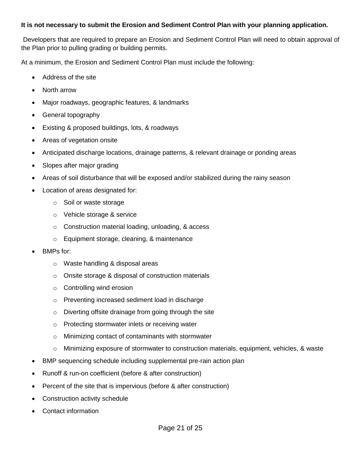### **It is not necessary to submit the Erosion and Sediment Control Plan with your planning application.**

Developers that are required to prepare an Erosion and Sediment Control Plan will need to obtain approval of the Plan prior to pulling grading or building permits.

At a minimum, the Erosion and Sediment Control Plan must include the following:

- Address of the site
- North arrow
- Major roadways, geographic features, & landmarks
- General topography
- Existing & proposed buildings, lots, & roadways
- Areas of vegetation onsite
- Anticipated discharge locations, drainage patterns, & relevant drainage or ponding areas
- Slopes after major grading
- Areas of soil disturbance that will be exposed and/or stabilized during the rainy season
- Location of areas designated for:
	- o Soil or waste storage
	- o Vehicle storage & service
	- o Construction material loading, unloading, & access
	- o Equipment storage, cleaning, & maintenance
- BMPs for:
	- o Waste handling & disposal areas
	- o Onsite storage & disposal of construction materials
	- o Controlling wind erosion
	- o Preventing increased sediment load in discharge
	- o Diverting offsite drainage from going through the site
	- o Protecting stormwater inlets or receiving water
	- o Minimizing contact of contaminants with stormwater
	- $\circ$  Minimizing exposure of stormwater to construction materials, equipment, vehicles, & waste
- BMP sequencing schedule including supplemental pre-rain action plan
- Runoff & run-on coefficient (before & after construction)
- Percent of the site that is impervious (before & after construction)
- Construction activity schedule
- Contact information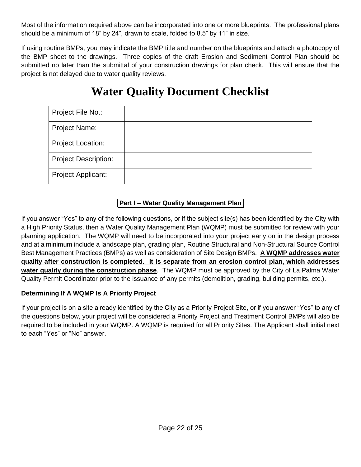Most of the information required above can be incorporated into one or more blueprints. The professional plans should be a minimum of 18" by 24", drawn to scale, folded to 8.5" by 11" in size.

If using routine BMPs, you may indicate the BMP title and number on the blueprints and attach a photocopy of the BMP sheet to the drawings. Three copies of the draft Erosion and Sediment Control Plan should be submitted no later than the submittal of your construction drawings for plan check. This will ensure that the project is not delayed due to water quality reviews.

# **Water Quality Document Checklist**

| Project File No.:           |  |
|-----------------------------|--|
| Project Name:               |  |
| <b>Project Location:</b>    |  |
| <b>Project Description:</b> |  |
| <b>Project Applicant:</b>   |  |

# **Part I – Water Quality Management Plan**

If you answer "Yes" to any of the following questions, or if the subject site(s) has been identified by the City with a High Priority Status, then a Water Quality Management Plan (WQMP) must be submitted for review with your planning application. The WQMP will need to be incorporated into your project early on in the design process and at a minimum include a landscape plan, grading plan, Routine Structural and Non-Structural Source Control Best Management Practices (BMPs) as well as consideration of Site Design BMPs. **A WQMP addresses water quality after construction is completed. It is separate from an erosion control plan, which addresses water quality during the construction phase**. The WQMP must be approved by the City of La Palma Water Quality Permit Coordinator prior to the issuance of any permits (demolition, grading, building permits, etc.).

# **Determining If A WQMP Is A Priority Project**

If your project is on a site already identified by the City as a Priority Project Site, or if you answer "Yes" to any of the questions below, your project will be considered a Priority Project and Treatment Control BMPs will also be required to be included in your WQMP. A WQMP is required for all Priority Sites. The Applicant shall initial next to each "Yes" or "No" answer.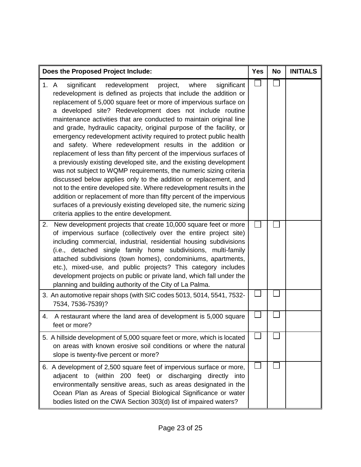| Does the Proposed Project Include:                                                                                                                                                                                                                                                                                                                                                                                                                                                                                                                                                                                                                                                                                                                                                                                                                                                                                                                                                                                                                                                                                          | <b>Yes</b> | <b>No</b> | <b>INITIALS</b> |
|-----------------------------------------------------------------------------------------------------------------------------------------------------------------------------------------------------------------------------------------------------------------------------------------------------------------------------------------------------------------------------------------------------------------------------------------------------------------------------------------------------------------------------------------------------------------------------------------------------------------------------------------------------------------------------------------------------------------------------------------------------------------------------------------------------------------------------------------------------------------------------------------------------------------------------------------------------------------------------------------------------------------------------------------------------------------------------------------------------------------------------|------------|-----------|-----------------|
| 1. A<br>redevelopment project,<br>significant<br>where<br>significant<br>redevelopment is defined as projects that include the addition or<br>replacement of 5,000 square feet or more of impervious surface on<br>a developed site? Redevelopment does not include routine<br>maintenance activities that are conducted to maintain original line<br>and grade, hydraulic capacity, original purpose of the facility, or<br>emergency redevelopment activity required to protect public health<br>and safety. Where redevelopment results in the addition or<br>replacement of less than fifty percent of the impervious surfaces of<br>a previously existing developed site, and the existing development<br>was not subject to WQMP requirements, the numeric sizing criteria<br>discussed below applies only to the addition or replacement, and<br>not to the entire developed site. Where redevelopment results in the<br>addition or replacement of more than fifty percent of the impervious<br>surfaces of a previously existing developed site, the numeric sizing<br>criteria applies to the entire development. |            |           |                 |
| New development projects that create 10,000 square feet or more<br>2.<br>of impervious surface (collectively over the entire project site)<br>including commercial, industrial, residential housing subdivisions<br>(i.e., detached single family home subdivisions, multi-family<br>attached subdivisions (town homes), condominiums, apartments,<br>etc.), mixed-use, and public projects? This category includes<br>development projects on public or private land, which fall under the<br>planning and building authority of the City of La Palma.                                                                                                                                                                                                                                                                                                                                                                                                                                                                                                                                                                     |            |           |                 |
| 3. An automotive repair shops (with SIC codes 5013, 5014, 5541, 7532-<br>7534, 7536-7539)?                                                                                                                                                                                                                                                                                                                                                                                                                                                                                                                                                                                                                                                                                                                                                                                                                                                                                                                                                                                                                                  |            |           |                 |
| A restaurant where the land area of development is 5,000 square<br>4.<br>feet or more?                                                                                                                                                                                                                                                                                                                                                                                                                                                                                                                                                                                                                                                                                                                                                                                                                                                                                                                                                                                                                                      |            |           |                 |
| 5. A hillside development of 5,000 square feet or more, which is located<br>on areas with known erosive soil conditions or where the natural<br>slope is twenty-five percent or more?                                                                                                                                                                                                                                                                                                                                                                                                                                                                                                                                                                                                                                                                                                                                                                                                                                                                                                                                       |            |           |                 |
| 6. A development of 2,500 square feet of impervious surface or more,<br>adjacent to (within 200 feet) or discharging directly into<br>environmentally sensitive areas, such as areas designated in the<br>Ocean Plan as Areas of Special Biological Significance or water<br>bodies listed on the CWA Section 303(d) list of impaired waters?                                                                                                                                                                                                                                                                                                                                                                                                                                                                                                                                                                                                                                                                                                                                                                               |            |           |                 |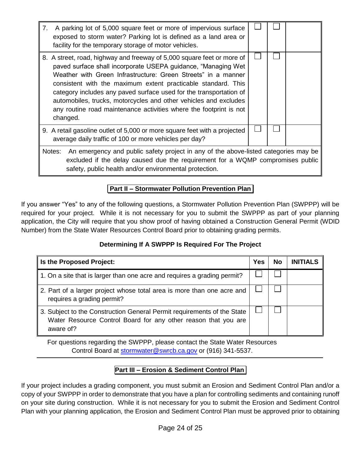| 7. | A parking lot of 5,000 square feet or more of impervious surface<br>exposed to storm water? Parking lot is defined as a land area or<br>facility for the temporary storage of motor vehicles.                                                                                                                                                                                                                                                                                                         |  |  |  |
|----|-------------------------------------------------------------------------------------------------------------------------------------------------------------------------------------------------------------------------------------------------------------------------------------------------------------------------------------------------------------------------------------------------------------------------------------------------------------------------------------------------------|--|--|--|
|    | 8. A street, road, highway and freeway of 5,000 square feet or more of<br>paved surface shall incorporate USEPA guidance, "Managing Wet<br>Weather with Green Infrastructure: Green Streets" in a manner<br>consistent with the maximum extent practicable standard. This<br>category includes any paved surface used for the transportation of<br>automobiles, trucks, motorcycles and other vehicles and excludes<br>any routine road maintenance activities where the footprint is not<br>changed. |  |  |  |
|    | 9. A retail gasoline outlet of 5,000 or more square feet with a projected<br>average daily traffic of 100 or more vehicles per day?                                                                                                                                                                                                                                                                                                                                                                   |  |  |  |
|    | An emergency and public safety project in any of the above-listed categories may be<br>Notes:<br>excluded if the delay caused due the requirement for a WQMP compromises public<br>safety, public health and/or environmental protection.                                                                                                                                                                                                                                                             |  |  |  |

# **Part II – Stormwater Pollution Prevention Plan**

If you answer "Yes" to any of the following questions, a Stormwater Pollution Prevention Plan (SWPPP) will be required for your project. While it is not necessary for you to submit the SWPPP as part of your planning application, the City will require that you show proof of having obtained a Construction General Permit (WDID Number) from the State Water Resources Control Board prior to obtaining grading permits.

# **Determining If A SWPPP Is Required For The Project**

| Is the Proposed Project:                                                                                                                               | <b>Yes</b> | <b>No</b> | <b>INITIALS</b> |
|--------------------------------------------------------------------------------------------------------------------------------------------------------|------------|-----------|-----------------|
| 1. On a site that is larger than one acre and requires a grading permit?                                                                               |            |           |                 |
| 2. Part of a larger project whose total area is more than one acre and<br>requires a grading permit?                                                   |            |           |                 |
| 3. Subject to the Construction General Permit requirements of the State<br>Water Resource Control Board for any other reason that you are<br>aware of? |            |           |                 |

For questions regarding the SWPPP, please contact the State Water Resources Control Board at [stormwater@swrcb.ca.gov](mailto:stormwater@SWRCB.ca.gov) or (916) 341-5537.

# **Part III – Erosion & Sediment Control Plan**

If your project includes a grading component, you must submit an Erosion and Sediment Control Plan and/or a copy of your SWPPP in order to demonstrate that you have a plan for controlling sediments and containing runoff on your site during construction. While it is not necessary for you to submit the Erosion and Sediment Control Plan with your planning application, the Erosion and Sediment Control Plan must be approved prior to obtaining